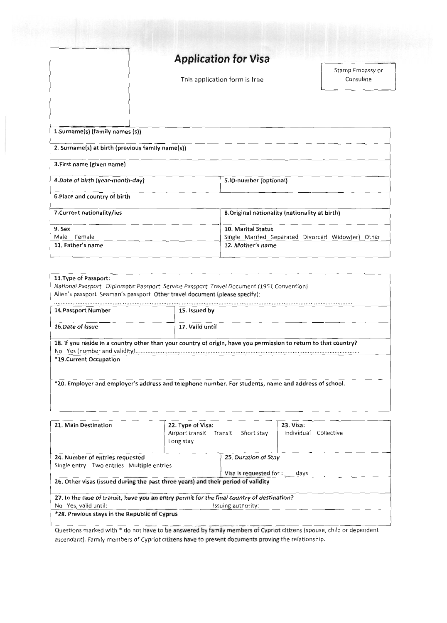|                                                                                     | <b>Application for Visa</b>                                                                  |  |
|-------------------------------------------------------------------------------------|----------------------------------------------------------------------------------------------|--|
|                                                                                     | This application form is free                                                                |  |
| 1.Surname(s) (family names (s))<br>2. Surname(s) at birth (previous family name(s)) |                                                                                              |  |
| 3. First name (given name)                                                          |                                                                                              |  |
| 4. Date of birth (year-month-day)                                                   | 5.ID-number (optional)                                                                       |  |
| 6. Place and country of birth                                                       |                                                                                              |  |
| 7. Current nationality/ies                                                          | 8. Original nationality (nationality at birth)                                               |  |
| 9. Sex<br>Female<br>Male<br>11. Father's name                                       | 10. Marital Status<br>Single Married Separated Divorced Widow(er) Other<br>12. Mother's name |  |

| 14. Passport Number     | Alien's passport Seaman's passport Other travel document (please specify):<br>15. Issued by                      |
|-------------------------|------------------------------------------------------------------------------------------------------------------|
| 16.Date of Issue        | 17. Valid until                                                                                                  |
|                         | 18. If you reside in a country other than your country of origin, have you permission to return to that country? |
| *19. Current Occupation |                                                                                                                  |

| 21. Main Destination                                                                       | 22. Type of Visa:<br>Airport transit Transit<br>Long stay | Short stay                   | 23. Visa: | Individual Collective |
|--------------------------------------------------------------------------------------------|-----------------------------------------------------------|------------------------------|-----------|-----------------------|
| 24. Number of entries requested                                                            |                                                           | 25. Duration of Stay         |           |                       |
| Single entry Two entries Multiple entries                                                  |                                                           |                              |           |                       |
|                                                                                            |                                                           | Visa is requested for : days |           |                       |
| 26. Other visas (issued during the past three years) and their period of validity          |                                                           |                              |           |                       |
| 27. In the case of transit, have you an entry permit for the final country of destination? |                                                           |                              |           |                       |
| No Yes, valid until:                                                                       | Issuing authority:                                        |                              |           |                       |
| *28. Previous stays in the Republic of Cyprus                                              |                                                           |                              |           |                       |

Questions marked with \* do not have to be answered by family members of Cypriot citizens (spouse, child or dependent ascendant). Family members of Cypriot citizens have to present documents proving the relationship.